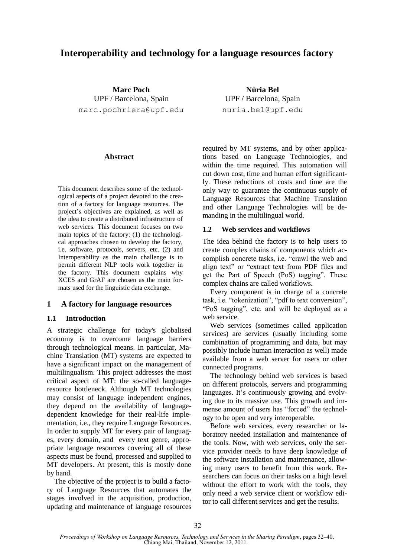# **Interoperability and technology for a language resources factory**

**Marc Poch** UPF / Barcelona, Spain marc.pochriera@upf.edu

### **Abstract**

This document describes some of the technological aspects of a project devoted to the creation of a factory for language resources. The project's objectives are explained, as well as the idea to create a distributed infrastructure of web services. This document focuses on two main topics of the factory: (1) the technological approaches chosen to develop the factory, i.e. software, protocols, servers, etc. (2) and Interoperability as the main challenge is to permit different NLP tools work together in the factory. This document explains why XCES and GrAF are chosen as the main formats used for the linguistic data exchange.

### **1 A factory for language resources**

### **1.1 Introduction**

A strategic challenge for today's globalised economy is to overcome language barriers through technological means. In particular, Machine Translation (MT) systems are expected to have a significant impact on the management of multilingualism. This project addresses the most critical aspect of MT: the so-called languageresource bottleneck. Although MT technologies may consist of language independent engines, they depend on the availability of languagedependent knowledge for their real-life implementation, i.e., they require Language Resources. In order to supply MT for every pair of languages, every domain, and every text genre, appropriate language resources covering all of these aspects must be found, processed and supplied to MT developers. At present, this is mostly done by hand.

The objective of the project is to build a factory of Language Resources that automates the stages involved in the acquisition, production, updating and maintenance of language resources

required by MT systems, and by other applications based on Language Technologies, and within the time required. This automation will cut down cost, time and human effort significantly. These reductions of costs and time are the only way to guarantee the continuous supply of Language Resources that Machine Translation

and other Language Technologies will be de-

**Núria Bel** UPF / Barcelona, Spain nuria.bel@upf.edu

### **1.2 Web services and workflows**

manding in the multilingual world.

The idea behind the factory is to help users to create complex chains of components which accomplish concrete tasks, i.e. "crawl the web and align text" or "extract text from PDF files and get the Part of Speech (PoS) tagging". These complex chains are called workflows.

Every component is in charge of a concrete task, i.e. "tokenization", "pdf to text conversion", "PoS tagging", etc. and will be deployed as a web service.

Web services (sometimes called application services) are services (usually including some combination of programming and data, but may possibly include human interaction as well) made available from a web server for users or other connected programs.

The technology behind web services is based on different protocols, servers and programming languages. It's continuously growing and evolving due to its massive use. This growth and immense amount of users has "forced" the technology to be open and very interoperable.

Before web services, every researcher or laboratory needed installation and maintenance of the tools. Now, with web services, only the service provider needs to have deep knowledge of the software installation and maintenance, allowing many users to benefit from this work. Researchers can focus on their tasks on a high level without the effort to work with the tools, they only need a web service client or workflow editor to call different services and get the results.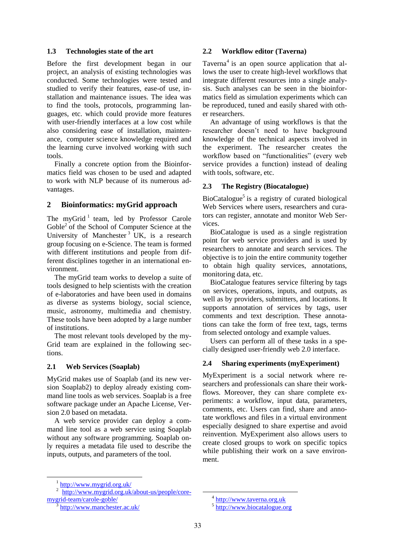### **1.3 Technologies state of the art**

Before the first development began in our project, an analysis of existing technologies was conducted. Some technologies were tested and studied to verify their features, ease-of use, installation and maintenance issues. The idea was to find the tools, protocols, programming languages, etc. which could provide more features with user-friendly interfaces at a low cost while also considering ease of installation, maintenance, computer science knowledge required and the learning curve involved working with such tools.

Finally a concrete option from the Bioinformatics field was chosen to be used and adapted to work with NLP because of its numerous advantages.

## **2 Bioinformatics: myGrid approach**

The myGrid<sup>1</sup> team, led by Professor Carole Goble<sup>2</sup> of the School of Computer Science at the University of Manchester<sup>3</sup> UK, is a research group focusing on e-Science. The team is formed with different institutions and people from different disciplines together in an international environment.

The myGrid team works to develop a suite of tools designed to help scientists with the creation of e-laboratories and have been used in domains as diverse as systems biology, social science, music, astronomy, multimedia and chemistry. These tools have been adopted by a large number of institutions.

The most relevant tools developed by the my-Grid team are explained in the following sections.

## **2.1 Web Services (Soaplab)**

MyGrid makes use of Soaplab (and its new version Soaplab2) to deploy already existing command line tools as web services. Soaplab is a free software package under an Apache License, Version 2.0 based on metadata.

A web service provider can deploy a command line tool as a web service using Soaplab without any software programming. Soaplab only requires a metadata file used to describe the inputs, outputs, and parameters of the tool.

## **2.2 Workflow editor (Taverna)**

Taverna<sup>4</sup> is an open source application that allows the user to create high-level workflows that integrate different resources into a single analysis. Such analyses can be seen in the bioinformatics field as simulation experiments which can be reproduced, tuned and easily shared with other researchers.

An advantage of using workflows is that the researcher doesn't need to have background knowledge of the technical aspects involved in the experiment. The researcher creates the workflow based on "functionalities" (every web service provides a function) instead of dealing with tools, software, etc.

## **2.3 The Registry (Biocatalogue)**

BioCatalogue<sup>5</sup> is a registry of curated biological Web Services where users, researchers and curators can register, annotate and monitor Web Services.

BioCatalogue is used as a single registration point for web service providers and is used by researchers to annotate and search services. The objective is to join the entire community together to obtain high quality services, annotations, monitoring data, etc.

BioCatalogue features service filtering by tags on services, operations, inputs, and outputs, as well as by providers, submitters, and locations. It supports annotation of services by tags, user comments and text description. These annotations can take the form of free text, tags, terms from selected ontology and example values.

Users can perform all of these tasks in a specially designed user-friendly web 2.0 interface.

## **2.4 Sharing experiments (myExperiment)**

MyExperiment is a social network where researchers and professionals can share their workflows. Moreover, they can share complete experiments: a workflow, input data, parameters, comments, etc. Users can find, share and annotate workflows and files in a virtual environment especially designed to share expertise and avoid reinvention. MyExperiment also allows users to create closed groups to work on specific topics while publishing their work on a save environment.

3 http://www.manchester.ac.uk/ <sup>&</sup>lt;sup>1</sup> http://www.mygrid.org.uk/

<sup>2</sup> http://www.mygrid.org.uk/about-us/people/coremygrid-team/carole-goble/

<sup>&</sup>lt;sup>4</sup> http://www.taverna.org.uk

<sup>5</sup> http://www.biocatalogue.org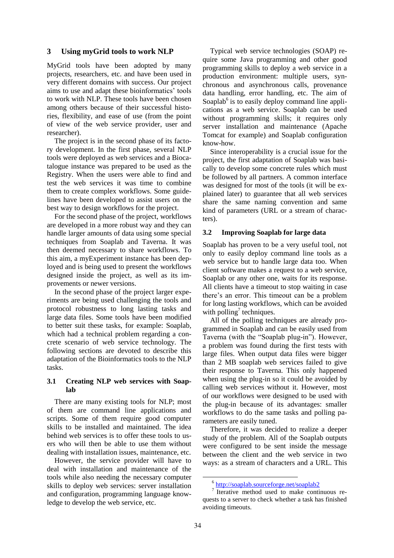### **3 Using myGrid tools to work NLP**

MyGrid tools have been adopted by many projects, researchers, etc. and have been used in very different domains with success. Our project aims to use and adapt these bioinformatics' tools to work with NLP. These tools have been chosen among others because of their successful histories, flexibility, and ease of use (from the point of view of the web service provider, user and researcher).

The project is in the second phase of its factory development. In the first phase, several NLP tools were deployed as web services and a Biocatalogue instance was prepared to be used as the Registry. When the users were able to find and test the web services it was time to combine them to create complex workflows. Some guidelines have been developed to assist users on the best way to design workflows for the project.

For the second phase of the project, workflows are developed in a more robust way and they can handle larger amounts of data using some special techniques from Soaplab and Taverna. It was then deemed necessary to share workflows. To this aim, a myExperiment instance has been deployed and is being used to present the workflows designed inside the project, as well as its improvements or newer versions.

In the second phase of the project larger experiments are being used challenging the tools and protocol robustness to long lasting tasks and large data files. Some tools have been modified to better suit these tasks, for example: Soaplab, which had a technical problem regarding a concrete scenario of web service technology. The following sections are devoted to describe this adaptation of the Bioinformatics tools to the NLP tasks.

### **3.1 Creating NLP web services with Soaplab**

There are many existing tools for NLP; most of them are command line applications and scripts. Some of them require good computer skills to be installed and maintained. The idea behind web services is to offer these tools to users who will then be able to use them without dealing with installation issues, maintenance, etc.

However, the service provider will have to deal with installation and maintenance of the tools while also needing the necessary computer skills to deploy web services: server installation and configuration, programming language knowledge to develop the web service, etc.

Typical web service technologies (SOAP) require some Java programming and other good programming skills to deploy a web service in a production environment: multiple users, synchronous and asynchronous calls, provenance data handling, error handling, etc. The aim of Soaplab<sup>6</sup> is to easily deploy command line applications as a web service. Soaplab can be used without programming skills; it requires only server installation and maintenance (Apache Tomcat for example) and Soaplab configuration know-how.

Since interoperability is a crucial issue for the project, the first adaptation of Soaplab was basically to develop some concrete rules which must be followed by all partners. A common interface was designed for most of the tools (it will be explained later) to guarantee that all web services share the same naming convention and same kind of parameters (URL or a stream of characters).

### **3.2 Improving Soaplab for large data**

Soaplab has proven to be a very useful tool, not only to easily deploy command line tools as a web service but to handle large data too. When client software makes a request to a web service, Soaplab or any other one, waits for its response. All clients have a timeout to stop waiting in case there's an error. This timeout can be a problem for long lasting workflows, which can be avoided with polling<sup>7</sup> techniques.

All of the polling techniques are already programmed in Soaplab and can be easily used from Taverna (with the "Soaplab plug-in"). However, a problem was found during the first tests with large files. When output data files were bigger than 2 MB soaplab web services failed to give their response to Taverna. This only happened when using the plug-in so it could be avoided by calling web services without it. However, most of our workflows were designed to be used with the plug-in because of its advantages: smaller workflows to do the same tasks and polling parameters are easily tuned.

Therefore, it was decided to realize a deeper study of the problem. All of the Soaplab outputs were configured to be sent inside the message between the client and the web service in two ways: as a stream of characters and a URL. This

<sup>6</sup> http://soaplab.sourceforge.net/soaplab2

<sup>7</sup> Iterative method used to make continuous requests to a server to check whether a task has finished avoiding timeouts.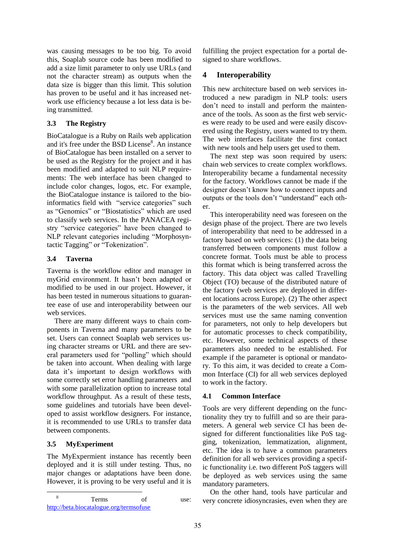was causing messages to be too big. To avoid this, Soaplab source code has been modified to add a size limit parameter to only use URLs (and not the character stream) as outputs when the data size is bigger than this limit. This solution has proven to be useful and it has increased network use efficiency because a lot less data is being transmitted.

## **3.3 The Registry**

BioCatalogue is a Ruby on Rails web application and it's free under the BSD License<sup>8</sup>. An instance of BioCatalogue has been installed on a server to be used as the Registry for the project and it has been modified and adapted to suit NLP requirements: The web interface has been changed to include color changes, logos, etc. For example, the BioCatalogue instance is tailored to the bioinformatics field with "service categories" such as "Genomics" or "Biostatistics" which are used to classify web services. In the PANACEA registry "service categories" have been changed to NLP relevant categories including "Morphosyntactic Tagging" or "Tokenization".

## **3.4 Taverna**

Taverna is the workflow editor and manager in myGrid environment. It hasn't been adapted or modified to be used in our project. However, it has been tested in numerous situations to guarantee ease of use and interoperability between our web services.

There are many different ways to chain components in Taverna and many parameters to be set. Users can connect Soaplab web services using character streams or URL and there are several parameters used for "polling" which should be taken into account. When dealing with large data it's important to design workflows with some correctly set error handling parameters and with some parallelization option to increase total workflow throughput. As a result of these tests, some guidelines and tutorials have been developed to assist workflow designers. For instance, it is recommended to use URLs to transfer data between components.

## **3.5 MyExperiment**

The MyExpermient instance has recently been deployed and it is still under testing. Thus, no major changes or adaptations have been done. However, it is proving to be very useful and it is fulfilling the project expectation for a portal designed to share workflows.

# **4 Interoperability**

This new architecture based on web services introduced a new paradigm in NLP tools: users don't need to install and perform the maintenance of the tools. As soon as the first web services were ready to be used and were easily discovered using the Registry, users wanted to try them. The web interfaces facilitate the first contact with new tools and help users get used to them.

The next step was soon required by users: chain web services to create complex workflows. Interoperability became a fundamental necessity for the factory. Workflows cannot be made if the designer doesn't know how to connect inputs and outputs or the tools don't "understand" each other.

This interoperability need was foreseen on the design phase of the project. There are two levels of interoperability that need to be addressed in a factory based on web services: (1) the data being transferred between components must follow a concrete format. Tools must be able to process this format which is being transferred across the factory. This data object was called Travelling Object (TO) because of the distributed nature of the factory (web services are deployed in different locations across Europe). (2) The other aspect is the parameters of the web services. All web services must use the same naming convention for parameters, not only to help developers but for automatic processes to check compatibility, etc. However, some technical aspects of these parameters also needed to be established. For example if the parameter is optional or mandatory. To this aim, it was decided to create a Common Interface (CI) for all web services deployed to work in the factory.

## **4.1 Common Interface**

Tools are very different depending on the functionality they try to fulfill and so are their parameters. A general web service CI has been designed for different functionalities like PoS tagging, tokenization, lemmatization, alignment, etc. The idea is to have a common parameters definition for all web services providing a specific functionality i.e. two different PoS taggers will be deployed as web services using the same mandatory parameters.

On the other hand, tools have particular and very concrete idiosyncrasies, even when they are

 8 Terms of use: http://beta.biocatalogue.org/termsofuse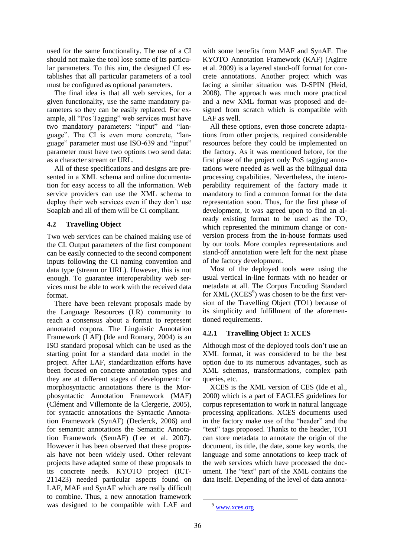used for the same functionality. The use of a CI should not make the tool lose some of its particular parameters. To this aim, the designed CI establishes that all particular parameters of a tool must be configured as optional parameters.

The final idea is that all web services, for a given functionality, use the same mandatory parameters so they can be easily replaced. For example, all "Pos Tagging" web services must have two mandatory parameters: "input" and "language". The CI is even more concrete, "language" parameter must use ISO-639 and "input" parameter must have two options two send data: as a character stream or URL.

All of these specifications and designs are presented in a XML schema and online documentation for easy access to all the information. Web service providers can use the XML schema to deploy their web services even if they don't use Soaplab and all of them will be CI compliant.

## **4.2 Travelling Object**

Two web services can be chained making use of the CI. Output parameters of the first component can be easily connected to the second component inputs following the CI naming convention and data type (stream or URL). However, this is not enough. To guarantee interoperability web services must be able to work with the received data format.

There have been relevant proposals made by the Language Resources (LR) community to reach a consensus about a format to represent annotated corpora. The Linguistic Annotation Framework (LAF) (Ide and Romary, 2004) is an ISO standard proposal which can be used as the starting point for a standard data model in the project. After LAF, standardization efforts have been focused on concrete annotation types and they are at different stages of development: for morphosyntactic annotations there is the Morphosyntactic Annotation Framework (MAF) (Clément and Villemonte de la Clergerie, 2005), for syntactic annotations the Syntactic Annotation Framework (SynAF) (Declerck, 2006) and for semantic annotations the Semantic Annotation Framework (SemAF) (Lee et al. 2007). However it has been observed that these proposals have not been widely used. Other relevant projects have adapted some of these proposals to its concrete needs. KYOTO project (ICT-211423) needed particular aspects found on LAF, MAF and SynAF which are really difficult to combine. Thus, a new annotation framework was designed to be compatible with LAF and

with some benefits from MAF and SynAF. The KYOTO Annotation Framework (KAF) (Agirre et al. 2009) is a layered stand-off format for concrete annotations. Another project which was facing a similar situation was D-SPIN (Heid, 2008). The approach was much more practical and a new XML format was proposed and designed from scratch which is compatible with LAF as well.

All these options, even those concrete adaptations from other projects, required considerable resources before they could be implemented on the factory. As it was mentioned before, for the first phase of the project only PoS tagging annotations were needed as well as the bilingual data processing capabilities. Nevertheless, the interoperability requirement of the factory made it mandatory to find a common format for the data representation soon. Thus, for the first phase of development, it was agreed upon to find an already existing format to be used as the TO, which represented the minimum change or conversion process from the in-house formats used by our tools. More complex representations and stand-off annotation were left for the next phase of the factory development.

Most of the deployed tools were using the usual vertical in-line formats with no header or metadata at all. The Corpus Encoding Standard for XML  $(XCES<sup>9</sup>)$  was chosen to be the first version of the Travelling Object (TO1) because of its simplicity and fulfillment of the aforementioned requirements.

## **4.2.1 Travelling Object 1: XCES**

Although most of the deployed tools don't use an XML format, it was considered to be the best option due to its numerous advantages, such as XML schemas, transformations, complex path queries, etc.

XCES is the XML version of CES (Ide et al., 2000) which is a part of EAGLES guidelines for corpus representation to work in natural language processing applications. XCES documents used in the factory make use of the "header" and the "text" tags proposed. Thanks to the header, TO1 can store metadata to annotate the origin of the document, its title, the date, some key words, the language and some annotations to keep track of the web services which have processed the document. The "text" part of the XML contains the data itself. Depending of the level of data annota-

<sup>9</sup> www.xces.org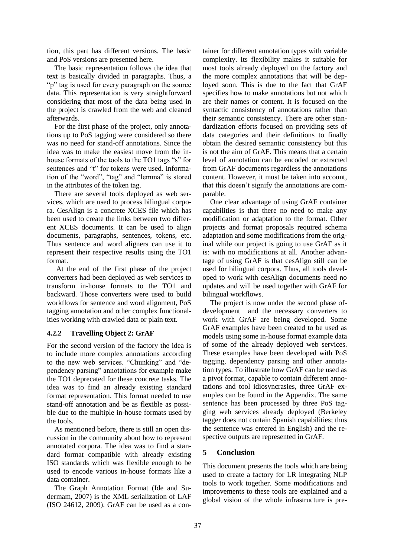tion, this part has different versions. The basic and PoS versions are presented here.

The basic representation follows the idea that text is basically divided in paragraphs. Thus, a "p" tag is used for every paragraph on the source" data. This representation is very straightforward considering that most of the data being used in the project is crawled from the web and cleaned afterwards.

For the first phase of the project, only annotations up to PoS tagging were considered so there was no need for stand-off annotations. Since the idea was to make the easiest move from the inhouse formats of the tools to the TO1 tags "s" for sentences and "t" for tokens were used. Information of the "word", "tag" and "lemma" is stored in the attributes of the token tag.

There are several tools deployed as web services, which are used to process bilingual corpora. CesAlign is a concrete XCES file which has been used to create the links between two different XCES documents. It can be used to align documents, paragraphs, sentences, tokens, etc. Thus sentence and word aligners can use it to represent their respective results using the TO1 format.

At the end of the first phase of the project converters had been deployed as web services to transform in-house formats to the TO1 and backward. Those converters were used to build workflows for sentence and word alignment, PoS tagging annotation and other complex functionalities working with crawled data or plain text.

## **4.2.2 Travelling Object 2: GrAF**

For the second version of the factory the idea is to include more complex annotations according to the new web services. "Chunking" and "dependency parsing" annotations for example make the TO1 deprecated for these concrete tasks. The idea was to find an already existing standard format representation. This format needed to use stand-off annotation and be as flexible as possible due to the multiple in-house formats used by the tools.

As mentioned before, there is still an open discussion in the community about how to represent annotated corpora. The idea was to find a standard format compatible with already existing ISO standards which was flexible enough to be used to encode various in-house formats like a data container.

The Graph Annotation Format (Ide and Sudermam, 2007) is the XML serialization of LAF (ISO 24612, 2009). GrAF can be used as a container for different annotation types with variable complexity. Its flexibility makes it suitable for most tools already deployed on the factory and the more complex annotations that will be deployed soon. This is due to the fact that GrAF specifies how to make annotations but not which are their names or content. It is focused on the syntactic consistency of annotations rather than their semantic consistency. There are other standardization efforts focused on providing sets of data categories and their definitions to finally obtain the desired semantic consistency but this is not the aim of GrAF. This means that a certain level of annotation can be encoded or extracted from GrAF documents regardless the annotations content. However, it must be taken into account, that this doesn't signify the annotations are comparable.

One clear advantage of using GrAF container capabilities is that there no need to make any modification or adaptation to the format. Other projects and format proposals required schema adaptation and some modifications from the original while our project is going to use GrAF as it is: with no modifications at all. Another advantage of using GrAF is that cesAlign still can be used for bilingual corpora. Thus, all tools developed to work with cesAlign documents need no updates and will be used together with GrAF for bilingual workflows.

The project is now under the second phase ofdevelopment and the necessary converters to work with GrAF are being developed. Some GrAF examples have been created to be used as models using some in-house format example data of some of the already deployed web services. These examples have been developed with PoS tagging, dependency parsing and other annotation types. To illustrate how GrAF can be used as a pivot format, capable to contain different annotations and tool idiosyncrasies, three GrAF examples can be found in the Appendix. The same sentence has been processed by three PoS tagging web services already deployed (Berkeley tagger does not contain Spanish capabilities; thus the sentence was entered in English) and the respective outputs are represented in GrAF.

## **5 Conclusion**

This document presents the tools which are being used to create a factory for LR integrating NLP tools to work together. Some modifications and improvements to these tools are explained and a global vision of the whole infrastructure is pre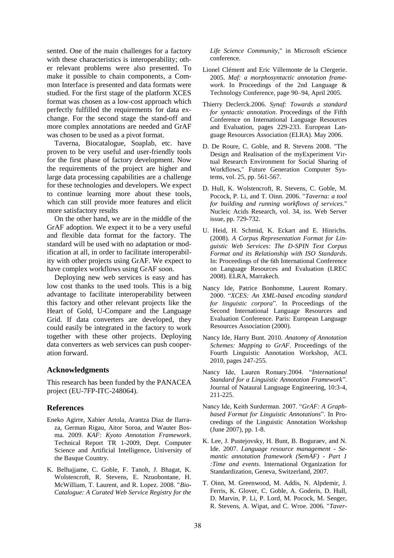sented. One of the main challenges for a factory with these characteristics is interoperability; other relevant problems were also presented. To make it possible to chain components, a Common Interface is presented and data formats were studied. For the first stage of the platform XCES format was chosen as a low-cost approach which perfectly fulfilled the requirements for data exchange. For the second stage the stand-off and more complex annotations are needed and GrAF was chosen to be used as a pivot format.

Taverna, Biocatalogue, Soaplab, etc. have proven to be very useful and user-friendly tools for the first phase of factory development. Now the requirements of the project are higher and large data processing capabilities are a challenge for these technologies and developers. We expect to continue learning more about these tools, which can still provide more features and elicit more satisfactory results

On the other hand, we are in the middle of the GrAF adoption. We expect it to be a very useful and flexible data format for the factory. The standard will be used with no adaptation or modification at all, in order to facilitate interoperability with other projects using GrAF. We expect to have complex workflows using GrAF soon.

Deploying new web services is easy and has low cost thanks to the used tools. This is a big advantage to facilitate interoperability between this factory and other relevant projects like the Heart of Gold, U-Compare and the Language Grid. If data converters are developed, they could easily be integrated in the factory to work together with these other projects. Deploying data converters as web services can push cooperation forward.

## **Acknowledgments**

This research has been funded by the PANACEA project (EU-7FP-ITC-248064).

### **References**

- Eneko Agirre, Xabier Artola, Arantza Diaz de Ilarraza, German Rigau, Aitor Soroa, and Wauter Bosma. 2009. *KAF: Kyoto Annotation Framework*. Technical Report TR 1-2009, Dept. Computer Science and Artificial Intelligence, University of the Basque Country.
- K. Belhajjame, C. Goble, F. Tanoh, J. Bhagat, K. Wolstencroft, R. Stevens, E. Nzuobontane, H. McWilliam, T. Laurent, and R. Lopez. 2008. "*Bio-Catalogue: A Curated Web Service Registry for the*

*Life Science Community*," in Microsoft eScience conference.

- Lionel Clément and Eric Villemonte de la Clergerie. 2005. *Maf: a morphosyntactic annotation framework*. In Proceedings of the 2nd Language & Technology Conference, page 90–94, April 2005.
- Thierry Declerck.2006. *Synaf: Towards a standard for syntactic annotation*. Proceedings of the Fifth Conference on International Language Resources and Evaluation, pages 229-233. European Language Resources Association (ELRA). May 2006.
- D. De Roure, C. Goble, and R. Stevens 2008. "The Design and Realisation of the myExperiment Virtual Research Environment for Social Sharing of Workflows," Future Generation Computer Systems, vol. 25, pp. 561-567.
- D. Hull, K. Wolstencroft, R. Stevens, C. Goble, M. Pocock, P. Li, and T. Oinn. 2006. "*Taverna: a tool for building and running workflows of services.*" Nucleic Acids Research, vol. 34, iss. Web Server issue, pp. 729-732.
- U. Heid, H. Schmid, K. Eckart and E. Hinrichs. (2008). *A Corpus Representation Format for Linguistic Web Services: The D-SPIN Text Corpus Format and its Relationship with ISO Standards*. In: Proceedings of the 6th International Conference on Language Resources and Evaluation (LREC 2008). ELRA, Marrakech.
- Nancy Ide, Patrice Bonhomme, Laurent Romary. 2000. "*XCES: An XML-based encoding standard for linguistic corpora*". In Proceedings of the Second International Language Resources and Evaluation Conference. Paris: European Language Resources Association (2000).
- Nancy Ide, Harry Bunt. 2010. *Anatomy of Annotation Schemes: Mapping to GrAF*. Proceedings of the Fourth Linguistic Annotation Workshop, ACL 2010, pages 247-255.
- Nancy Ide, Lauren Romary.2004. "*International Standard for a Linguistic Annotation Framework*". Journal of Nataural Language Engineering, 10:3-4, 211-225.
- Nancy Ide, Keith Surderman. 2007. "*GrAF: A Graphbased Format for Linguistic Annotations*". In Proceedings of the Linguistic Annotation Workshop (June 2007), pp. 1-8.
- K. Lee, J. Pustejovsky, H. Bunt, B. Boguraev, and N. Ide. 2007. *Language resource management - Semantic annotation framework (SemAF) - Part 1 :Time and events*. International Organization for Standardization, Geneva, Switzerland, 2007.
- T. Oinn, M. Greenwood, M. Addis, N. Alpdemir, J. Ferris, K. Glover, C. Goble, A. Goderis, D. Hull, D. Marvin, P. Li, P. Lord, M. Pocock, M. Senger, R. Stevens, A. Wipat, and C. Wroe. 2006. "*Taver-*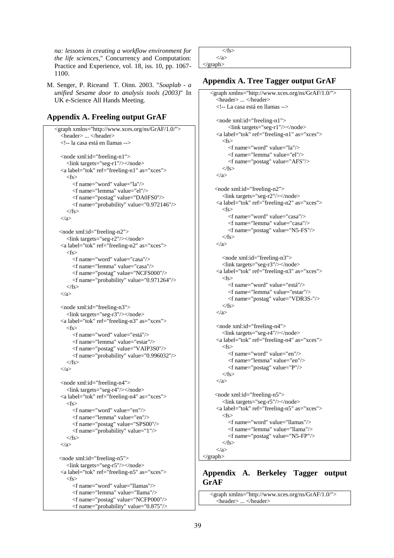*na: lessons in creating a workflow environment for the life sciences*," Concurrency and Computation: Practice and Experience, vol. 18, iss. 10, pp. 1067- 1100.

M. Senger, P. Riceand T. Oinn. 2003. "*Soaplab - a unified Sesame door to analysis tools (2003)*" In UK e-Science All Hands Meeting.

# **Appendix A. Freeling output GrAF**

```
<graph xmlns="http://www.xces.org/ns/GrAF/1.0/">
 <header> ... </header>
 <!-- la casa está en llamas -->
 <node xml:id="freeling-n1">
   <link targets="seg-r1"/></node>
 <a label="tok" ref="freeling-n1" as="xces">
  \epsilon <f name="word" value="la"/>
      <f name="lemma" value="el"/>
      <f name="postag" value="DA0FS0"/>
      <f name="probability" value="0.972146"/>
  \langlefs>
 </a>
<node xml:id="freeling-n2">
   <link targets="seg-r2"/></node>
 <a label="tok" ref="freeling-n2" as="xces">
   <fs>
      <f name="word" value="casa"/>
      <f name="lemma" value="casa"/>
      <f name="postag" value="NCFS000"/>
      <f name="probability" value="0.971264"/>
  \langle fs>
\langle a \rangle <node xml:id="freeling-n3">
   <link targets="seg-r3"/></node>
 <a label="tok" ref="freeling-n3" as="xces">
  \epsilonfs\sim <f name="word" value="está"/>
      <f name="lemma" value="estar"/>
      <f name="postag" value="VAIP3S0"/>
      <f name="probability" value="0.996032"/>
  \langlefs>
 </a>
 <node xml:id="freeling-n4">
   <link targets="seg-r4"/></node>
 <a label="tok" ref="freeling-n4" as="xces">
   <fs>
      <f name="word" value="en"/>
      <f name="lemma" value="en"/>
      <f name="postag" value="SPS00"/>
      <f name="probability" value="1"/>
  \langlefs>
\langle a \rangle <node xml:id="freeling-n5">
   <link targets="seg-r5"/></node>
 <a label="tok" ref="freeling-n5" as="xces">
  \epsilon <f name="word" value="llamas"/>
      <f name="lemma" value="llama"/>
      <f name="postag" value="NCFP000"/>
```
<f name="probability" value="0.875"/>

 $\langle$ fs> </a> </graph>

# **Appendix A. Tree Tagger output GrAF**

```
<graph xmlns="http://www.xces.org/ns/GrAF/1.0/">
 <header> ... </header>
 <!-- La casa está en llamas -->
 <node xml:id="freeling-n1">
      <link targets="seg-r1"/></node>
 <a label="tok" ref="freeling-n1" as="xces">
  <fs>
      <f name="word" value="la"/>
      <f name="lemma" value="el"/>
      <f name="postag" value="AFS"/>
   </fs>
 </a>
<node xml:id="freeling-n2">
   <link targets="seg-r2"/></node>
 <a label="tok" ref="freeling-n2" as="xces">
  \epsilon <f name="word" value="casa"/>
      <f name="lemma" value="casa"/>
     \lef name="postag" value="N5-FS"/>\langlefs>
 </a>
   <node xml:id="freeling-n3">
   <link targets="seg-r3"/></node>
 <a label="tok" ref="freeling-n3" as="xces">
  \epsilon <f name="word" value="está"/>
      <f name="lemma" value="estar"/>
      <f name="postag" value="VDR3S-"/>
  \langlefs>
 </a>
 <node xml:id="freeling-n4">
   <link targets="seg-r4"/></node>
 <a label="tok" ref="freeling-n4" as="xces">
  \epsilon <f name="word" value="en"/>
      <f name="lemma" value="en"/>
      <f name="postag" value="P"/>
  \langle fs>
\langle a \rangle <node xml:id="freeling-n5">
   <link targets="seg-r5"/></node>
 <a label="tok" ref="freeling-n5" as="xces">
   <fs>
      <f name="word" value="llamas"/>
      <f name="lemma" value="llama"/>
      <f name="postag" value="N5-FP"/>
   \epsilon/fs
 </a>
```
### </graph>

# **Appendix A. Berkeley Tagger output GrAF**

```
<graph xmlns="http://www.xces.org/ns/GrAF/1.0/">
 <header> ... </header>
```